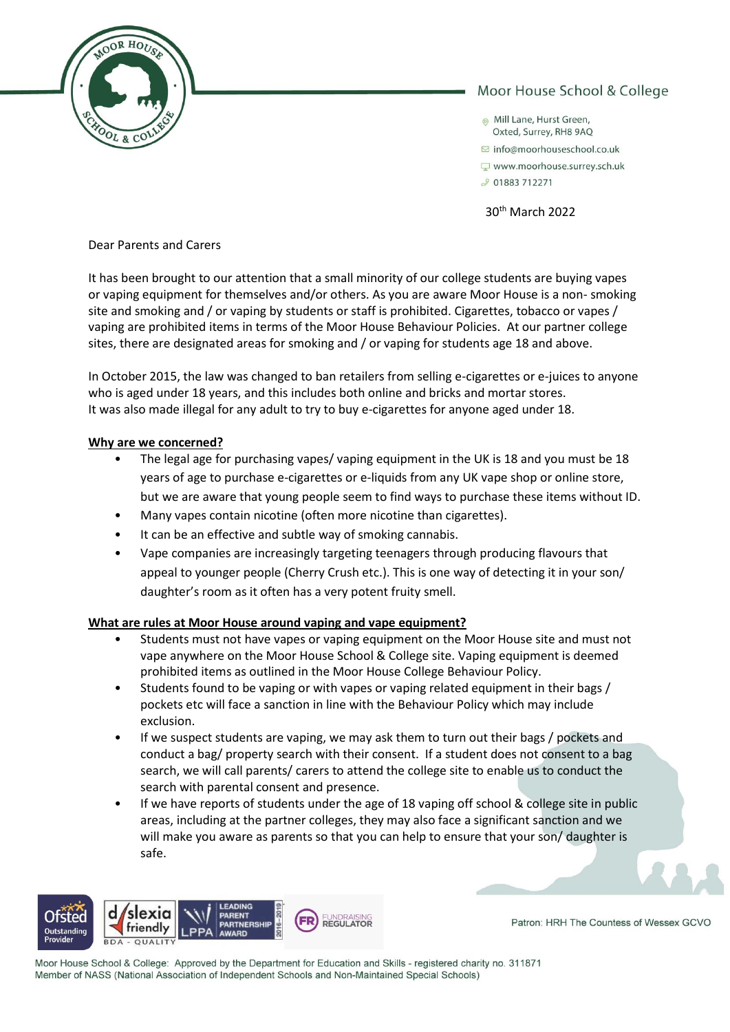

# Moor House School & College

- Mill Lane, Hurst Green, Oxted, Surrey, RH8 9AO
- $\Box$  info@moorhouseschool.co.uk
- www.moorhouse.surrey.sch.uk
- J 01883 712271

30th March 2022

Dear Parents and Carers

It has been brought to our attention that a small minority of our college students are buying vapes or vaping equipment for themselves and/or others. As you are aware Moor House is a non- smoking site and smoking and / or vaping by students or staff is prohibited. Cigarettes, tobacco or vapes / vaping are prohibited items in terms of the Moor House Behaviour Policies. At our partner college sites, there are designated areas for smoking and / or vaping for students age 18 and above.

In October 2015, the law was changed to ban retailers from selling e-cigarettes or e-juices to anyone who is aged under 18 years, and this includes both online and bricks and mortar stores. It was also made illegal for any adult to try to buy e-cigarettes for anyone aged under 18.

### **Why are we concerned?**

- The legal age for purchasing vapes/ vaping equipment in the UK is 18 and you must be 18 years of age to purchase e-cigarettes or e-liquids from any UK vape shop or online store, but we are aware that young people seem to find ways to purchase these items without ID.
- Many vapes contain nicotine (often more nicotine than cigarettes).
- It can be an effective and subtle way of smoking cannabis.
- Vape companies are increasingly targeting teenagers through producing flavours that appeal to younger people (Cherry Crush etc.). This is one way of detecting it in your son/ daughter's room as it often has a very potent fruity smell.

# **What are rules at Moor House around vaping and vape equipment?**

- Students must not have vapes or vaping equipment on the Moor House site and must not vape anywhere on the Moor House School & College site. Vaping equipment is deemed prohibited items as outlined in the Moor House College Behaviour Policy.
- Students found to be vaping or with vapes or vaping related equipment in their bags / pockets etc will face a sanction in line with the Behaviour Policy which may include exclusion.
- If we suspect students are vaping, we may ask them to turn out their bags / pockets and conduct a bag/ property search with their consent. If a student does not consent to a bag search, we will call parents/ carers to attend the college site to enable us to conduct the search with parental consent and presence.
- If we have reports of students under the age of 18 vaping off school & college site in public areas, including at the partner colleges, they may also face a significant sanction and we will make you aware as parents so that you can help to ensure that your son/ daughter is safe.



Patron: HRH The Countess of Wessex GCVO

Moor House School & College: Approved by the Department for Education and Skills - registered charity no. 311871 Member of NASS (National Association of Independent Schools and Non-Maintained Special Schools)